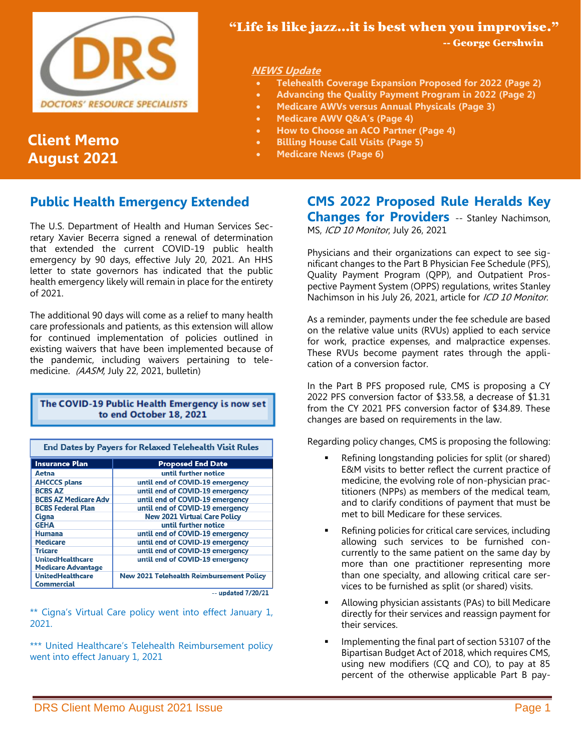

# **Client Memo August 2021**

# "Life is like jazz…it is best when you improvise."

-- George Gershwin

## **NEWS Update**

- **Telehealth Coverage Expansion Proposed for 2022 (Page 2)**
- **Advancing the Quality Payment Program in 2022 (Page 2)**
- **Medicare AWVs versus Annual Physicals (Page 3)**
- **Medicare AWV Q&A's (Page 4)**
- **How to Choose an ACO Partner (Page 4)**
- **Billing House Call Visits (Page 5)**
- **Medicare News (Page 6)**

# **Public Health Emergency Extended**

The U.S. Department of Health and Human Services Secretary Xavier Becerra signed a renewal of determination that extended the current COVID-19 public health emergency by 90 days, effective July 20, 2021. An HHS letter to state governors has indicated that the public health emergency likely will remain in place for the entirety of 2021.

The additional 90 days will come as a relief to many health care professionals and patients, as this extension will allow for continued implementation of policies outlined in existing waivers that have been implemented because of the pandemic, including waivers pertaining to telemedicine. (AASM, July 22, 2021, bulletin)

## The COVID-19 Public Health Emergency is now set to end October 18, 2021

| End Dates by Payers for Relaxed Telehealth Visit Rules |  |  |  |
|--------------------------------------------------------|--|--|--|
| <b>Proposed End Date</b>                               |  |  |  |
| until further notice                                   |  |  |  |
| until end of COVID-19 emergency                        |  |  |  |
| until end of COVID-19 emergency                        |  |  |  |
| until end of COVID-19 emergency                        |  |  |  |
| until end of COVID-19 emergency                        |  |  |  |
| <b>New 2021 Virtual Care Policy</b>                    |  |  |  |
| until further notice                                   |  |  |  |
| until end of COVID-19 emergency                        |  |  |  |
| until end of COVID-19 emergency                        |  |  |  |
| until end of COVID-19 emergency                        |  |  |  |
| until end of COVID-19 emergency                        |  |  |  |
| <b>New 2021 Telehealth Reimbursement Policy</b>        |  |  |  |
|                                                        |  |  |  |

 $-$  updated  $7/20/21$ 

\*\* Cigna's Virtual Care policy went into effect January 1, 2021.

\*\*\* United Healthcare's Telehealth Reimbursement policy went into effect January 1, 2021

# **CMS 2022 Proposed Rule Heralds Key Changes for Providers** -- Stanley Nachimson,

MS, ICD 10 Monitor, July 26, 2021

Physicians and their organizations can expect to see significant changes to the Part B Physician Fee Schedule (PFS), Quality Payment Program (QPP), and Outpatient Prospective Payment System (OPPS) regulations, writes Stanley Nachimson in his July 26, 2021, article for ICD 10 Monitor.

As a reminder, payments under the fee schedule are based on the relative value units (RVUs) applied to each service for work, practice expenses, and malpractice expenses. These RVUs become payment rates through the application of a conversion factor.

In the Part B PFS proposed rule, CMS is proposing a CY 2022 PFS conversion factor of \$33.58, a decrease of \$1.31 from the CY 2021 PFS conversion factor of \$34.89. These changes are based on requirements in the law.

Regarding policy changes, CMS is proposing the following:

- Refining longstanding policies for split (or shared) E&M visits to better reflect the current practice of medicine, the evolving role of non-physician practitioners (NPPs) as members of the medical team, and to clarify conditions of payment that must be met to bill Medicare for these services.
- Refining policies for critical care services, including allowing such services to be furnished concurrently to the same patient on the same day by more than one practitioner representing more than one specialty, and allowing critical care services to be furnished as split (or shared) visits.
- Allowing physician assistants (PAs) to bill Medicare directly for their services and reassign payment for their services.
- Implementing the final part of section 53107 of the Bipartisan Budget Act of 2018, which requires CMS, using new modifiers (CQ and CO), to pay at 85 percent of the otherwise applicable Part B pay-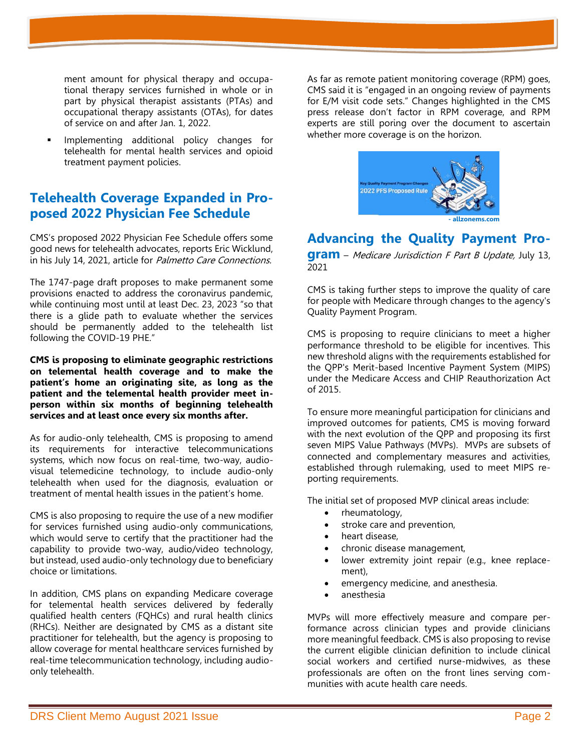ment amount for physical therapy and occupational therapy services furnished in whole or in part by physical therapist assistants (PTAs) and occupational therapy assistants (OTAs), for dates of service on and after Jan. 1, 2022.

Implementing additional policy changes for telehealth for mental health services and opioid treatment payment policies.

# **Telehealth Coverage Expanded in Proposed 2022 Physician Fee Schedule**

CMS's proposed 2022 Physician Fee Schedule offers some good news for telehealth advocates, reports Eric Wicklund, in his July 14, 2021, article for Palmetto Care Connections.

The 1747-page draft proposes to make permanent some provisions enacted to address the coronavirus pandemic, while continuing most until at least Dec. 23, 2023 "so that there is a glide path to evaluate whether the services should be permanently added to the telehealth list following the COVID-19 PHE."

**CMS is proposing to eliminate geographic restrictions on telemental health coverage and to make the patient's home an originating site, as long as the patient and the telemental health provider meet inperson within six months of beginning telehealth services and at least once every six months after.**

As for audio-only telehealth, CMS is proposing to amend its requirements for interactive telecommunications systems, which now focus on real-time, two-way, audiovisual telemedicine technology, to include audio-only telehealth when used for the diagnosis, evaluation or treatment of mental health issues in the patient's home.

CMS is also proposing to require the use of a new modifier for services furnished using audio-only communications, which would serve to certify that the practitioner had the capability to provide two-way, audio/video technology, but instead, used audio-only technology due to beneficiary choice or limitations.

In addition, CMS plans on expanding Medicare coverage for telemental health services delivered by federally qualified health centers (FQHCs) and rural health clinics (RHCs). Neither are designated by CMS as a distant site practitioner for telehealth, but the agency is proposing to allow coverage for mental healthcare services furnished by real-time telecommunication technology, including audioonly telehealth.

As far as remote patient monitoring coverage (RPM) goes, CMS said it is "engaged in an ongoing review of payments for E/M visit code sets." Changes highlighted in the CMS press release don't factor in RPM coverage, and RPM experts are still poring over the document to ascertain whether more coverage is on the horizon.



# **Advancing the Quality Payment Pro-**

**gram** – Medicare Jurisdiction F Part B Update, July 13, 2021

CMS is taking further steps to improve the quality of care for people with Medicare through changes to the agency's Quality Payment Program.

CMS is proposing to require clinicians to meet a higher performance threshold to be eligible for incentives. This new threshold aligns with the requirements established for the QPP's Merit-based Incentive Payment System (MIPS) under the Medicare Access and CHIP Reauthorization Act of 2015.

To ensure more meaningful participation for clinicians and improved outcomes for patients, CMS is moving forward with the next evolution of the QPP and proposing its first seven MIPS Value Pathways (MVPs). MVPs are subsets of connected and complementary measures and activities, established through rulemaking, used to meet MIPS reporting requirements.

The initial set of proposed MVP clinical areas include:

- rheumatology,
- stroke care and prevention,
- heart disease,
- chronic disease management,
- lower extremity joint repair (e.g., knee replacement),
- emergency medicine, and anesthesia.
- anesthesia

MVPs will more effectively measure and compare performance across clinician types and provide clinicians more meaningful feedback. CMS is also proposing to revise the current eligible clinician definition to include clinical social workers and certified nurse-midwives, as these professionals are often on the front lines serving communities with acute health care needs.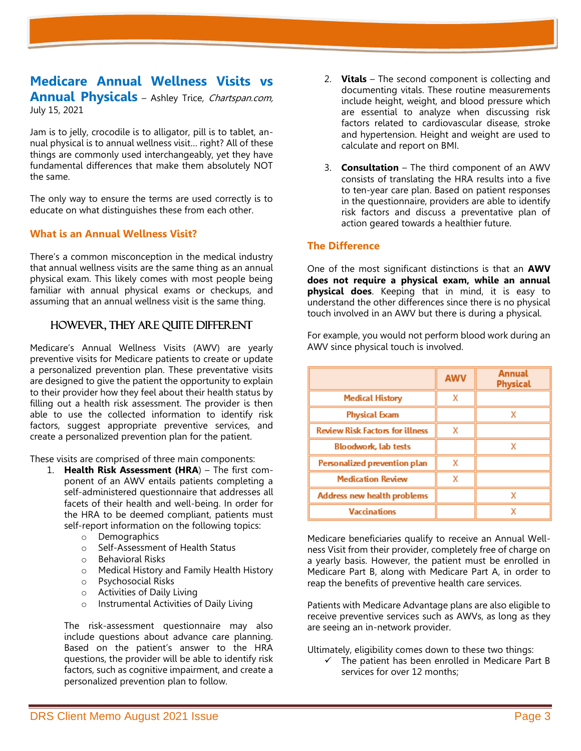## **Medicare Annual Wellness Visits vs Annual Physicals** – Ashley Trice, *Chartspan.com*, July 15, 2021

Jam is to jelly, crocodile is to alligator, pill is to tablet, annual physical is to annual wellness visit… right? All of these things are commonly used interchangeably, yet they have fundamental differences that make them absolutely NOT the same.

The only way to ensure the terms are used correctly is to educate on what distinguishes these from each other.

#### **What is an Annual Wellness Visit?**

There's a common misconception in the medical industry that annual wellness visits are the same thing as an annual physical exam. This likely comes with most people being familiar with annual physical exams or checkups, and assuming that an annual wellness visit is the same thing.

#### However, they are quite different

Medicare's Annual Wellness Visits (AWV) are yearly preventive visits for Medicare patients to create or update a personalized prevention plan. These preventative visits are designed to give the patient the opportunity to explain to their provider how they feel about their health status by filling out a health risk assessment. The provider is then able to use the collected information to identify risk factors, suggest appropriate preventive services, and create a personalized prevention plan for the patient.

These visits are comprised of three main components:

- 1. **Health Risk Assessment (HRA**) The first component of an AWV entails patients completing a self-administered questionnaire that addresses all facets of their health and well-being. In order for the HRA to be deemed compliant, patients must self-report information on the following topics:
	- o Demographics
	- o Self-Assessment of Health Status
	- o Behavioral Risks
	- o Medical History and Family Health History
	- o Psychosocial Risks
	- o Activities of Daily Living
	- o Instrumental Activities of Daily Living

The risk-assessment questionnaire may also include questions about advance care planning. Based on the patient's answer to the HRA questions, the provider will be able to identify risk factors, such as cognitive impairment, and create a personalized prevention plan to follow.

- 2. **Vitals** The second component is collecting and documenting vitals. These routine measurements include height, weight, and blood pressure which are essential to analyze when discussing risk factors related to cardiovascular disease, stroke and hypertension. Height and weight are used to calculate and report on BMI.
- 3. **Consultation**  The third component of an AWV consists of translating the HRA results into a five to ten-year care plan. Based on patient responses in the questionnaire, providers are able to identify risk factors and discuss a preventative plan of action geared towards a healthier future.

#### **The Difference**

One of the most significant distinctions is that an **AWV does not require a physical exam, while an annual physical does**. Keeping that in mind, it is easy to understand the other differences since there is no physical touch involved in an AWV but there is during a physical.

For example, you would not perform blood work during an AWV since physical touch is involved.

|                                        | <b>AWV</b> | <b>Annual</b><br>Physical |
|----------------------------------------|------------|---------------------------|
| <b>Medical History</b>                 | x          |                           |
| Physical Exam                          |            | x                         |
| <b>Review Risk Factors for illness</b> | х          |                           |
| <b>Bloodwork, lab tests</b>            |            | χ                         |
| Personalized prevention plan           | x          |                           |
| <b>Medication Review</b>               | x          |                           |
| Address new health problems            |            | x                         |
| <b>Vaccinations</b>                    |            |                           |

Medicare beneficiaries qualify to receive an Annual Wellness Visit from their provider, completely free of charge on a yearly basis. However, the patient must be enrolled in Medicare Part B, along with Medicare Part A, in order to reap the benefits of preventive health care services.

Patients with Medicare Advantage plans are also eligible to receive preventive services such as AWVs, as long as they are seeing an in-network provider.

Ultimately, eligibility comes down to these two things:

 $\checkmark$  The patient has been enrolled in Medicare Part B services for over 12 months;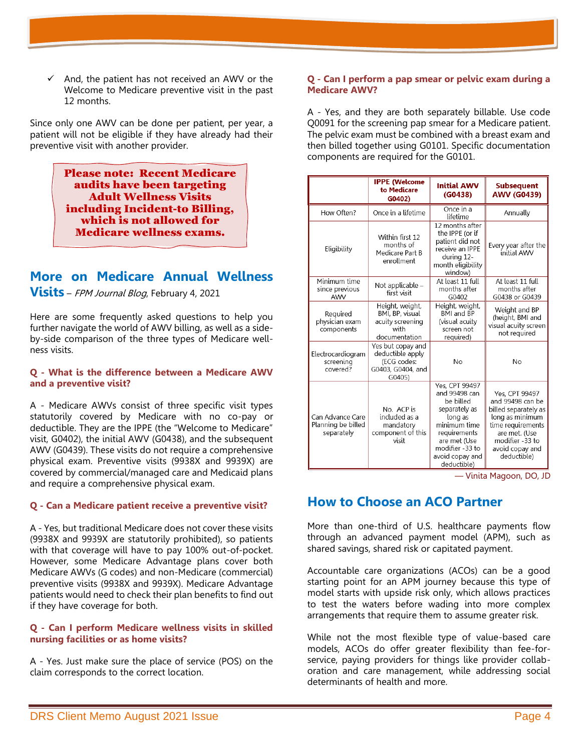$\checkmark$  And, the patient has not received an AWV or the Welcome to Medicare preventive visit in the past 12 months.

Since only one AWV can be done per patient, per year, a patient will not be eligible if they have already had their preventive visit with another provider.

> Please note: Recent Medicare audits have been targeting Adult Wellness Visits including Incident-to Billing, which is not allowed for Medicare wellness exams.

# **More on Medicare Annual Wellness**

**Visits** – FPM Journal Blog, February 4, 2021

Here are some frequently asked questions to help you further navigate the world of AWV billing, as well as a sideby-side comparison of the three types of Medicare wellness visits.

#### **Q - What is the difference between a Medicare AWV and a preventive visit?**

A - Medicare AWVs consist of three specific visit types statutorily covered by Medicare with no co-pay or deductible. They are the IPPE (the "Welcome to Medicare" visit, G0402), the initial AWV (G0438), and the subsequent AWV (G0439). These visits do not require a comprehensive physical exam. Preventive visits (9938X and 9939X) are covered by commercial/managed care and Medicaid plans and require a comprehensive physical exam.

#### **Q - Can a Medicare patient receive a preventive visit?**

A - Yes, but traditional Medicare does not cover these visits (9938X and 9939X are statutorily prohibited), so patients with that coverage will have to pay 100% out-of-pocket. However, some Medicare Advantage plans cover both Medicare AWVs (G codes) and non-Medicare (commercial) preventive visits (9938X and 9939X). Medicare Advantage patients would need to check their plan benefits to find out if they have coverage for both.

#### **Q - Can I perform Medicare wellness visits in skilled nursing facilities or as home visits?**

A - Yes. Just make sure the place of service (POS) on the claim corresponds to the correct location.

#### **Q - Can I perform a pap smear or pelvic exam during a Medicare AWV?**

A - Yes, and they are both separately billable. Use code Q0091 for the screening pap smear for a Medicare patient. The pelvic exam must be combined with a breast exam and then billed together using G0101. Specific documentation components are required for the G0101.

|                                                      | <b>IPPE</b> (Welcome<br>to Medicare<br>G0402)                                       | <b>Initial AWV</b><br>(G0438)                                                                                                                                                 | <b>Subsequent</b><br><b>AWV (G0439)</b>                                                                                                                                  |
|------------------------------------------------------|-------------------------------------------------------------------------------------|-------------------------------------------------------------------------------------------------------------------------------------------------------------------------------|--------------------------------------------------------------------------------------------------------------------------------------------------------------------------|
| How Often?                                           | Once in a lifetime                                                                  | Once in a<br>lifetime                                                                                                                                                         | Annually                                                                                                                                                                 |
| Eligibility                                          | Within first 12<br>months of<br>Medicare Part B<br>enrollment                       | 12 months after<br>the IPPE (or if<br>patient did not<br>receive an IPPE<br>during 12-<br>month eligibility<br>window)                                                        | Every year after the<br>initial AWV                                                                                                                                      |
| Minimum time<br>since previous<br>AWV                | Not applicable –<br>first visit                                                     | At least 11 full<br>months after<br>G0402                                                                                                                                     | At least 11 full<br>months after<br>G0438 or G0439                                                                                                                       |
| Required<br>physician exam<br>components             | Height, weight,<br>BMI, BP, visual<br>acuity screening<br>with<br>documentation     | Height, weight,<br><b>BMI</b> and <b>BP</b><br>(visual acuity<br>screen not<br>required)                                                                                      | Weight and BP<br>(height, BMI and<br>visual acuity screen<br>not required                                                                                                |
| Electrocardiogram<br>screening<br>covered?           | Yes but copay and<br>deductible apply<br>(ECG codes:<br>G0403, G0404, and<br>G0405) | No                                                                                                                                                                            | No                                                                                                                                                                       |
| Can Advance Care<br>Planning be billed<br>separately | No. ACP is<br>included as a<br>mandatory<br>component of this<br>visit              | Yes, CPT 99497<br>and 99498 can<br>be billed<br>separately as<br>long as<br>minimum time<br>requirements<br>are met (Use<br>modifier -33 to<br>avoid copay and<br>deductible) | Yes. CPT 99497<br>and 99498 can be<br>billed separately as<br>long as minimum<br>time requirements<br>are met. (Use<br>modifier -33 to<br>avoid copay and<br>deductible) |

— Vinita Magoon, DO, JD

# **How to Choose an ACO Partner**

More than one-third of U.S. healthcare payments flow through an advanced payment model (APM), such as shared savings, shared risk or capitated payment.

Accountable care organizations (ACOs) can be a good starting point for an APM journey because this type of model starts with upside risk only, which allows practices to test the waters before wading into more complex arrangements that require them to assume greater risk.

While not the most flexible type of value-based care models, ACOs do offer greater flexibility than fee-forservice, paying providers for things like provider collaboration and care management, while addressing social determinants of health and more.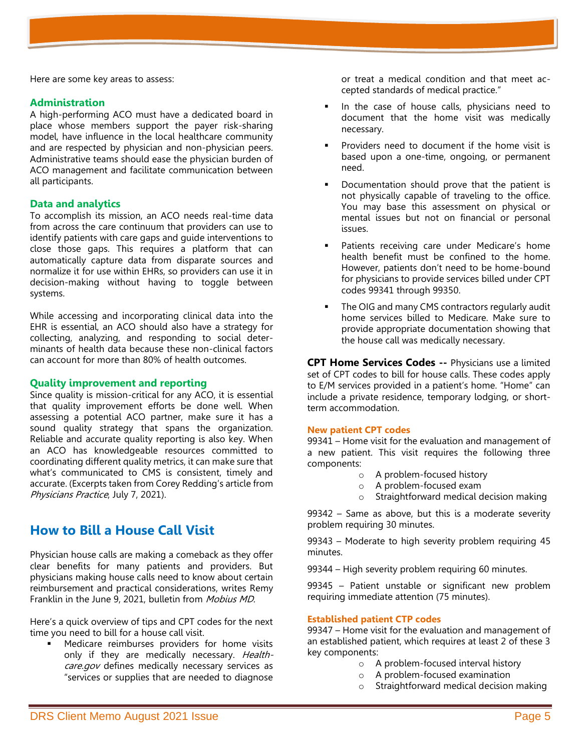Here are some key areas to assess:

## **Administration**

A high-performing ACO must have a dedicated board in place whose members support the payer risk-sharing model, have influence in the local healthcare community and are respected by physician and non-physician peers. Administrative teams should ease the physician burden of ACO management and facilitate communication between all participants.

## **Data and analytics**

To accomplish its mission, an ACO needs real-time data from across the care continuum that providers can use to identify patients with care gaps and guide interventions to close those gaps. This requires a platform that can automatically capture data from disparate sources and normalize it for use within EHRs, so providers can use it in decision-making without having to toggle between systems.

While accessing and incorporating clinical data into the EHR is essential, an ACO should also have a strategy for collecting, analyzing, and responding to social determinants of health data because these non-clinical factors can account for more than 80% of health outcomes.

#### **Quality improvement and reporting**

Since quality is mission-critical for any ACO, it is essential that quality improvement efforts be done well. When assessing a potential ACO partner, make sure it has a sound quality strategy that spans the organization. Reliable and accurate quality reporting is also key. When an ACO has knowledgeable resources committed to coordinating different quality metrics, it can make sure that what's communicated to CMS is consistent, timely and accurate. (Excerpts taken from Corey Redding's article from Physicians Practice, July 7, 2021).

# **How to Bill a House Call Visit**

Physician house calls are making a comeback as they offer clear benefits for many patients and providers. But physicians making house calls need to know about certain reimbursement and practical considerations, writes Remy Franklin in the June 9, 2021, bulletin from Mobius MD.

Here's a quick overview of tips and CPT codes for the next time you need to bill for a house call visit.

**■** Medicare reimburses providers for home visits only if they are medically necessary. Healthcare.gov defines medically necessary services as "services or supplies that are needed to diagnose

or treat a medical condition and that meet accepted standards of medical practice."

- In the case of house calls, physicians need to document that the home visit was medically necessary.
- Providers need to document if the home visit is based upon a one-time, ongoing, or permanent need.
- Documentation should prove that the patient is not physically capable of traveling to the office. You may base this assessment on physical or mental issues but not on financial or personal issues.
- Patients receiving care under Medicare's home health benefit must be confined to the home. However, patients don't need to be home-bound for physicians to provide services billed under CPT codes 99341 through 99350.
- The OIG and many CMS contractors regularly audit home services billed to Medicare. Make sure to provide appropriate documentation showing that the house call was medically necessary.

**CPT Home Services Codes --** Physicians use a limited set of CPT codes to bill for house calls. These codes apply to E/M services provided in a patient's home. "Home" can include a private residence, temporary lodging, or shortterm accommodation.

#### **New patient CPT codes**

99341 – Home visit for the evaluation and management of a new patient. This visit requires the following three components:

- o A problem-focused history
- o A problem-focused exam
- o Straightforward medical decision making

99342 – Same as above, but this is a moderate severity problem requiring 30 minutes.

99343 – Moderate to high severity problem requiring 45 minutes.

99344 – High severity problem requiring 60 minutes.

99345 – Patient unstable or significant new problem requiring immediate attention (75 minutes).

## **Established patient CTP codes**

99347 – Home visit for the evaluation and management of an established patient, which requires at least 2 of these 3 key components:

- o A problem-focused interval history
- o A problem-focused examination
- o Straightforward medical decision making